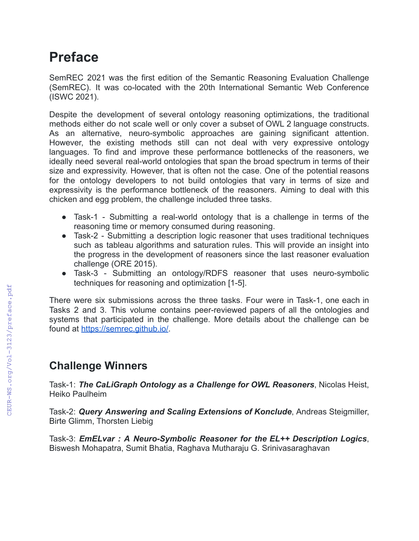# **Preface**

SemREC 2021 was the first edition of the Semantic Reasoning Evaluation Challenge (SemREC). It was co-located with the 20th International Semantic Web Conference (ISWC 2021).

Despite the development of several ontology reasoning optimizations, the traditional methods either do not scale well or only cover a subset of OWL 2 language constructs. As an alternative, neuro-symbolic approaches are gaining significant attention. However, the existing methods still can not deal with very expressive ontology languages. To find and improve these performance bottlenecks of the reasoners, we ideally need several real-world ontologies that span the broad spectrum in terms of their size and expressivity. However, that is often not the case. One of the potential reasons for the ontology developers to not build ontologies that vary in terms of size and expressivity is the performance bottleneck of the reasoners. Aiming to deal with this chicken and egg problem, the challenge included three tasks.

- Task-1 Submitting a real-world ontology that is a challenge in terms of the reasoning time or memory consumed during reasoning.
- Task-2 Submitting a description logic reasoner that uses traditional techniques such as tableau algorithms and saturation rules. This will provide an insight into the progress in the development of reasoners since the last reasoner evaluation challenge (ORE 2015).
- Task-3 Submitting an ontology/RDFS reasoner that uses neuro-symbolic techniques for reasoning and optimization [1-5].

There were six submissions across the three tasks. Four were in Task-1, one each in Tasks 2 and 3. This volume contains peer-reviewed papers of all the ontologies and systems that participated in the challenge. More details about the challenge can be found at <https://semrec.github.io/>.

### **Challenge Winners**

Task-1: *The CaLiGraph Ontology as a Challenge for OWL Reasoners*, Nicolas Heist, Heiko Paulheim

Task-2: *Query Answering and Scaling Extensions of Konclude*, Andreas Steigmiller, Birte Glimm, Thorsten Liebig

Task-3: *EmELvar : A Neuro-Symbolic Reasoner for the EL++ Description Logics*, Biswesh Mohapatra, Sumit Bhatia, Raghava Mutharaju G. Srinivasaraghavan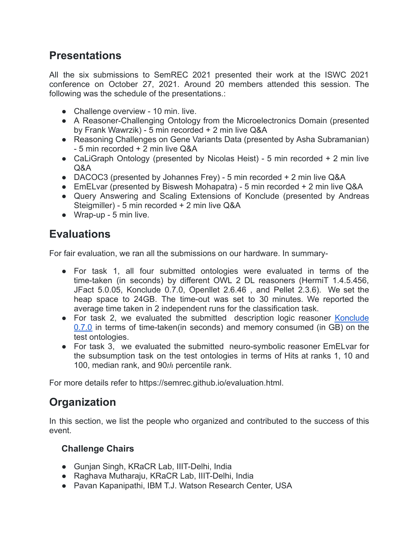## **Presentations**

All the six submissions to SemREC 2021 presented their work at the ISWC 2021 conference on October 27, 2021. Around 20 members attended this session. The following was the schedule of the presentations.:

- Challenge overview 10 min. live.
- A Reasoner-Challenging Ontology from the Microelectronics Domain (presented by Frank Wawrzik) - 5 min recorded + 2 min live Q&A
- Reasoning Challenges on Gene Variants Data (presented by Asha Subramanian) - 5 min recorded + 2 min live Q&A
- CaLiGraph Ontology (presented by Nicolas Heist) 5 min recorded + 2 min live Q&A
- DACOC3 (presented by Johannes Frey) 5 min recorded + 2 min live Q&A
- EmELvar (presented by Biswesh Mohapatra) 5 min recorded + 2 min live Q&A
- Query Answering and Scaling Extensions of Konclude (presented by Andreas Steigmiller) - 5 min recorded + 2 min live Q&A
- Wrap-up 5 min live.

# **Evaluations**

For fair evaluation, we ran all the submissions on our hardware. In summary-

- For task 1, all four submitted ontologies were evaluated in terms of the time-taken (in seconds) by different OWL 2 DL reasoners (HermiT 1.4.5.456, JFact 5.0.05, Konclude 0.7.0, Openllet 2.6.46 , and Pellet 2.3.6). We set the heap space to 24GB. The time-out was set to 30 minutes. We reported the average time taken in 2 independent runs for the classification task.
- For task 2, we evaluated the submitted description logic reasoner [Konclude](https://github.com/konclude/Konclude/releases/download/v0.7.0-1135/Konclude-v0.7.0-1135-Linux-x64-GCC-Static-Qt5.12.10.zip) [0.7.0](https://github.com/konclude/Konclude/releases/download/v0.7.0-1135/Konclude-v0.7.0-1135-Linux-x64-GCC-Static-Qt5.12.10.zip) in terms of time-taken(in seconds) and memory consumed (in GB) on the test ontologies.
- For task 3, we evaluated the submitted neuro-symbolic reasoner EmELvar for the subsumption task on the test ontologies in terms of Hits at ranks 1, 10 and 100, median rank, and  $90<sub>th</sub>$  percentile rank.

For more details refer to https://semrec.github.io/evaluation.html.

# **Organization**

In this section, we list the people who organized and contributed to the success of this event.

### **Challenge Chairs**

- Gunjan Singh, [KRaCR Lab](https://kracr.iiitd.edu.in/), [IIIT-Delhi, India](https://iiitd.ac.in/)
- Raghava Mutharaju, [KRaCR Lab](https://kracr.iiitd.edu.in/), [IIIT-Delhi, India](https://iiitd.ac.in/)
- Pavan Kapanipathi, [IBM T.J. Watson Research Center,](https://www.research.ibm.com/labs/watson/) USA